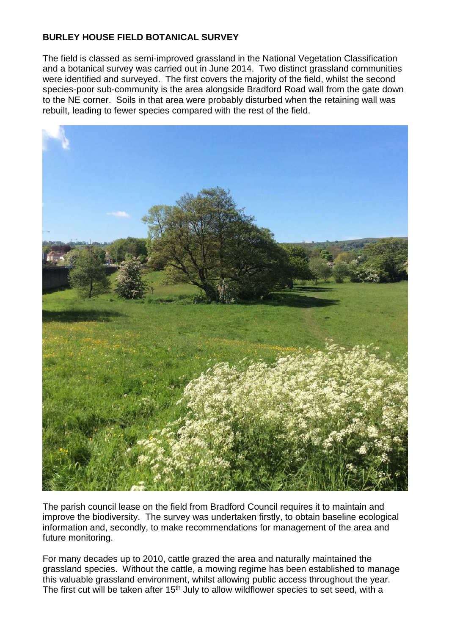## **BURLEY HOUSE FIELD BOTANICAL SURVEY**

The field is classed as semi-improved grassland in the National Vegetation Classification and a botanical survey was carried out in June 2014. Two distinct grassland communities were identified and surveyed. The first covers the majority of the field, whilst the second species-poor sub-community is the area alongside Bradford Road wall from the gate down to the NE corner. Soils in that area were probably disturbed when the retaining wall was rebuilt, leading to fewer species compared with the rest of the field.



The parish council lease on the field from Bradford Council requires it to maintain and improve the biodiversity. The survey was undertaken firstly, to obtain baseline ecological information and, secondly, to make recommendations for management of the area and future monitoring.

For many decades up to 2010, cattle grazed the area and naturally maintained the grassland species. Without the cattle, a mowing regime has been established to manage this valuable grassland environment, whilst allowing public access throughout the year. The first cut will be taken after 15<sup>th</sup> July to allow wildflower species to set seed, with a